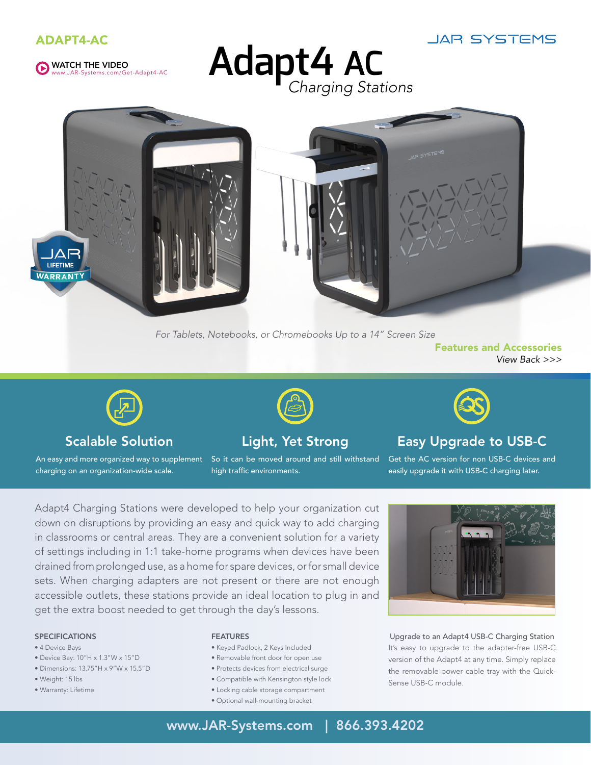





**Adapt4 AC** *Charging Stations*



*For Tablets, Notebooks, or Chromebooks Up to a 14" Screen Size*

Features and Accessories *View Back >>>*



## Scalable Solution

charging on an organization-wide scale.

## Light, Yet Strong

An easy and more organized way to supplement So it can be moved around and still withstand high traffic environments.



## Easy Upgrade to USB-C

Get the AC version for non USB-C devices and easily upgrade it with USB-C charging later.

Adapt4 Charging Stations were developed to help your organization cut down on disruptions by providing an easy and quick way to add charging in classrooms or central areas. They are a convenient solution for a variety of settings including in 1:1 take-home programs when devices have been drained from prolonged use, as a home for spare devices, or for small device sets. When charging adapters are not present or there are not enough accessible outlets, these stations provide an ideal location to plug in and get the extra boost needed to get through the day's lessons.

### **SPECIFICATIONS**

- 4 Device Bays
- Device Bay: 10"H x 1.3"W x 15"D
- Dimensions: 13.75"H x 9"W x 15.5"D
- Weight: 15 lbs
- Warranty: Lifetime

#### Features

- Keyed Padlock, 2 Keys Included
- Removable front door for open use
- Protects devices from electrical surge
- Compatible with Kensington style lock
- Locking cable storage compartment
- Optional wall-mounting bracket



Upgrade to an Adapt4 USB-C Charging Station It's easy to upgrade to the adapter-free USB-C version of the Adapt4 at any time. Simply replace the removable power cable tray with the Quick-Sense USB-C module.